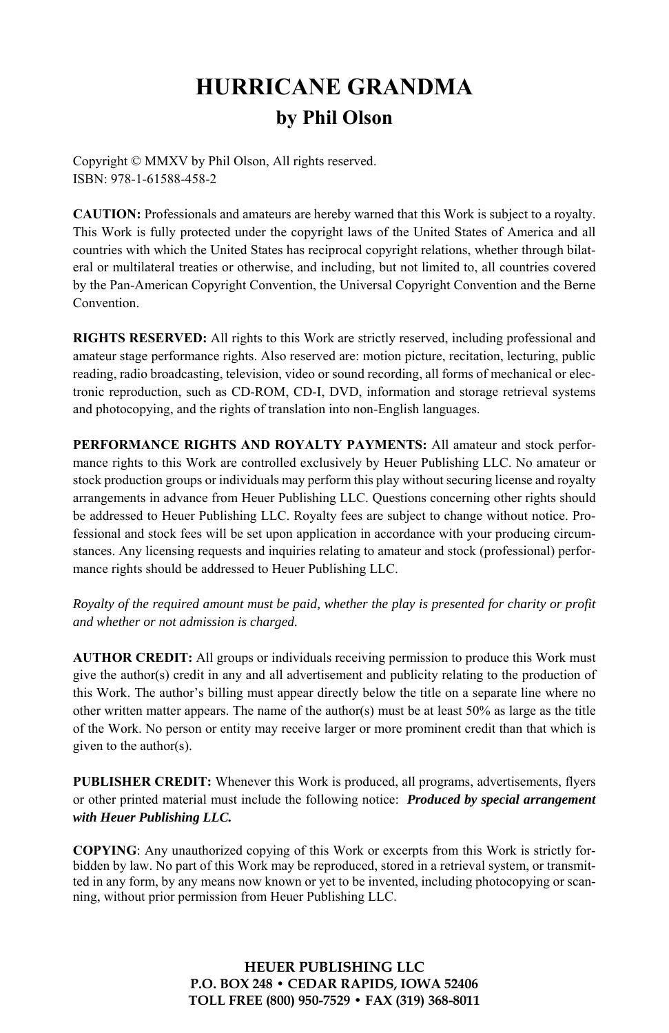## **HURRICANE GRANDMA by Phil Olson**

Copyright © MMXV by Phil Olson, All rights reserved. ISBN: 978-1-61588-458-2

**CAUTION:** Professionals and amateurs are hereby warned that this Work is subject to a royalty. This Work is fully protected under the copyright laws of the United States of America and all countries with which the United States has reciprocal copyright relations, whether through bilateral or multilateral treaties or otherwise, and including, but not limited to, all countries covered by the Pan-American Copyright Convention, the Universal Copyright Convention and the Berne Convention.

**RIGHTS RESERVED:** All rights to this Work are strictly reserved, including professional and amateur stage performance rights. Also reserved are: motion picture, recitation, lecturing, public reading, radio broadcasting, television, video or sound recording, all forms of mechanical or electronic reproduction, such as CD-ROM, CD-I, DVD, information and storage retrieval systems and photocopying, and the rights of translation into non-English languages.

**PERFORMANCE RIGHTS AND ROYALTY PAYMENTS:** All amateur and stock performance rights to this Work are controlled exclusively by Heuer Publishing LLC. No amateur or stock production groups or individuals may perform this play without securing license and royalty arrangements in advance from Heuer Publishing LLC. Questions concerning other rights should be addressed to Heuer Publishing LLC. Royalty fees are subject to change without notice. Professional and stock fees will be set upon application in accordance with your producing circumstances. Any licensing requests and inquiries relating to amateur and stock (professional) performance rights should be addressed to Heuer Publishing LLC.

*Royalty of the required amount must be paid, whether the play is presented for charity or profit and whether or not admission is charged.* 

**AUTHOR CREDIT:** All groups or individuals receiving permission to produce this Work must give the author(s) credit in any and all advertisement and publicity relating to the production of this Work. The author's billing must appear directly below the title on a separate line where no other written matter appears. The name of the author(s) must be at least  $50\%$  as large as the title of the Work. No person or entity may receive larger or more prominent credit than that which is given to the author(s).

**PUBLISHER CREDIT:** Whenever this Work is produced, all programs, advertisements, flyers or other printed material must include the following notice: *Produced by special arrangement with Heuer Publishing LLC.*

**COPYING**: Any unauthorized copying of this Work or excerpts from this Work is strictly forbidden by law. No part of this Work may be reproduced, stored in a retrieval system, or transmitted in any form, by any means now known or yet to be invented, including photocopying or scanning, without prior permission from Heuer Publishing LLC.

> **HEUER PUBLISHING LLC P.O. BOX 248 • CEDAR RAPIDS, IOWA 52406 TOLL FREE (800) 950-7529 • FAX (319) 368-8011**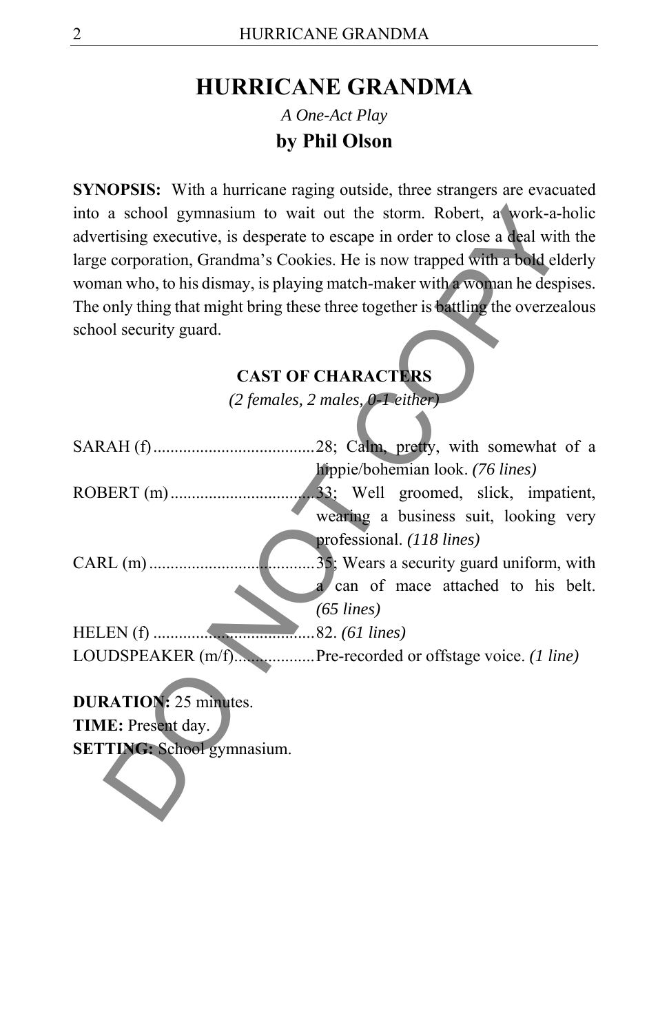## **HURRICANE GRANDMA**  *A One-Act Play*  **by Phil Olson**

**SYNOPSIS:** With a hurricane raging outside, three strangers are evacuated into a school gymnasium to wait out the storm. Robert, a work-a-holic advertising executive, is desperate to escape in order to close a deal with the large corporation, Grandma's Cookies. He is now trapped with a bold elderly woman who, to his dismay, is playing match-maker with a woman he despises. The only thing that might bring these three together is battling the overzealous school security guard.

## **CAST OF CHARACTERS**

| into a school gymnasium to wait out the storm. Robert, a work-a-holic            |                                          |
|----------------------------------------------------------------------------------|------------------------------------------|
| advertising executive, is desperate to escape in order to close a deal with the  |                                          |
| large corporation, Grandma's Cookies. He is now trapped with a bold elderly      |                                          |
| woman who, to his dismay, is playing match-maker with a woman he despises.       |                                          |
| The only thing that might bring these three together is battling the overzealous |                                          |
| school security guard.                                                           |                                          |
|                                                                                  |                                          |
| <b>CAST OF CHARACTERS</b>                                                        |                                          |
| $(2$ females, $2$ males, $0-1$ either)                                           |                                          |
|                                                                                  |                                          |
|                                                                                  |                                          |
|                                                                                  | hippie/bohemian look. (76 lines)         |
|                                                                                  |                                          |
|                                                                                  | wearing a business suit, looking very    |
| professional. (118 lines)                                                        |                                          |
| $CARL(m)$                                                                        | 35; Wears a security guard uniform, with |
| a can of mace attached to his belt.                                              |                                          |
| $(65$ lines)                                                                     |                                          |
|                                                                                  |                                          |
| LOUDSPEAKER (m/f)Pre-recorded or offstage voice. (1 line)                        |                                          |
|                                                                                  |                                          |
| <b>DURATION:</b> 25 minutes.                                                     |                                          |
| TIME: Present day.                                                               |                                          |
| <b>SETTING:</b> School gymnasium.                                                |                                          |
|                                                                                  |                                          |
|                                                                                  |                                          |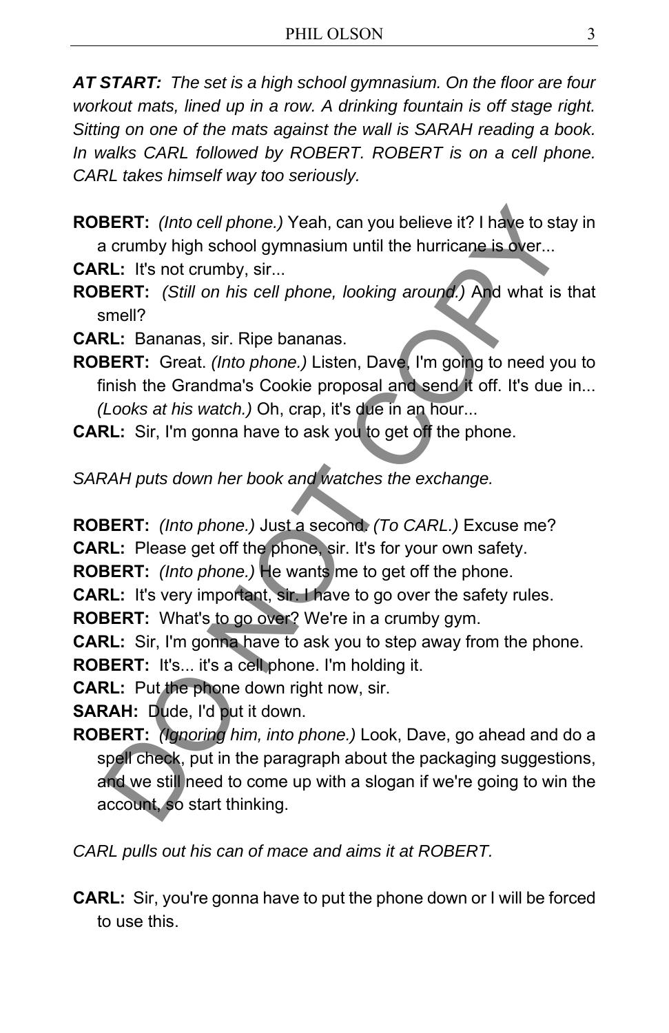*AT START: The set is a high school gymnasium. On the floor are four workout mats, lined up in a row. A drinking fountain is off stage right. Sitting on one of the mats against the wall is SARAH reading a book.*  In walks CARL followed by ROBERT. ROBERT is on a cell phone. *CARL takes himself way too seriously.* 

**ROBERT:** *(Into cell phone.)* Yeah, can you believe it? I have to stay in a crumby high school gymnasium until the hurricane is over...

**CARL:** It's not crumby, sir...

**ROBERT:** *(Still on his cell phone, looking around.)* And what is that smell?

**CARL:** Bananas, sir. Ripe bananas.

**ROBERT:** Great. *(Into phone.)* Listen, Dave, I'm going to need you to finish the Grandma's Cookie proposal and send it off. It's due in... *(Looks at his watch.)* Oh, crap, it's due in an hour...

**CARL:** Sir, I'm gonna have to ask you to get off the phone.

*SARAH puts down her book and watches the exchange.* 

**ROBERT:** *(Into phone.)* Just a second. *(To CARL.)* Excuse me?

**CARL:** Please get off the phone, sir. It's for your own safety.

**ROBERT:** *(Into phone.)* He wants me to get off the phone.

**CARL:** It's very important, sir. I have to go over the safety rules.

**ROBERT:** What's to go over? We're in a crumby gym.

**CARL:** Sir, I'm gonna have to ask you to step away from the phone.

**ROBERT:** It's... it's a cell phone. I'm holding it.

**CARL:** Put the phone down right now, sir.

**SARAH:** Dude, I'd put it down.

**ROBERT:** *(Ignoring him, into phone.)* Look, Dave, go ahead and do a spell check, put in the paragraph about the packaging suggestions, and we still need to come up with a slogan if we're going to win the account, so start thinking. **BERT:** (Into cell phone.) Yeah, can you believe it? I have to state that the commoly high school gymnasium until the hurricane is over...<br> **RL:** It's not crumby, sir...<br> **RL:** It's not crumby, sir...<br> **RL:** It's not crumb

*CARL pulls out his can of mace and aims it at ROBERT.* 

**CARL:** Sir, you're gonna have to put the phone down or I will be forced to use this.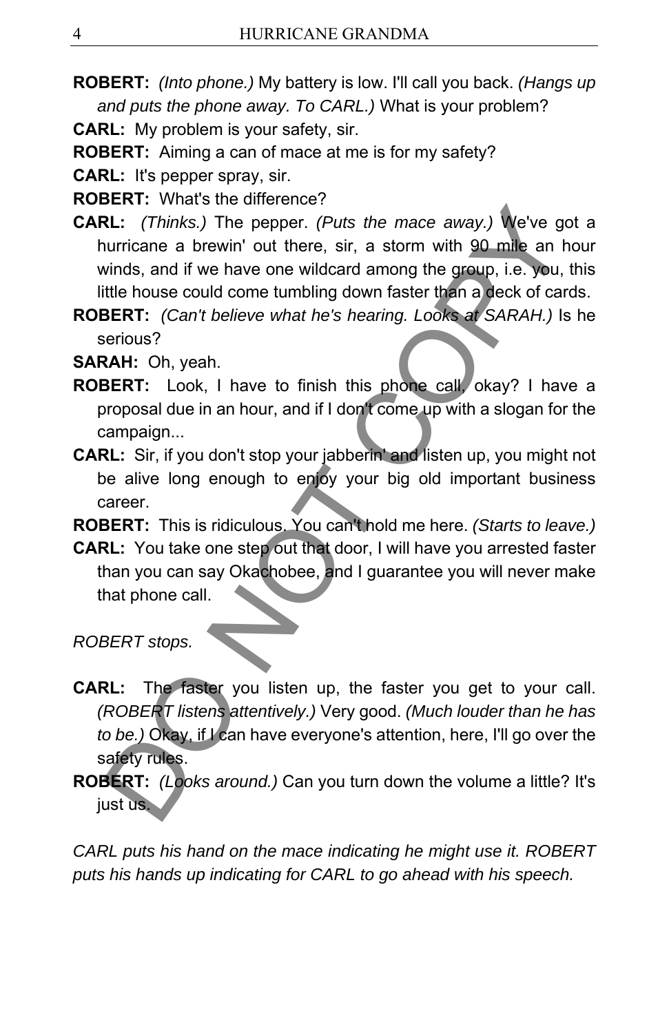**ROBERT:** *(Into phone.)* My battery is low. I'll call you back. *(Hangs up and puts the phone away. To CARL.)* What is your problem?

**CARL:** My problem is your safety, sir.

**ROBERT:** Aiming a can of mace at me is for my safety?

**CARL:** It's pepper spray, sir.

**ROBERT:** What's the difference?

- **CARL:** *(Thinks.)* The pepper. *(Puts the mace away.)* We've got a hurricane a brewin' out there, sir, a storm with 90 mile an hour winds, and if we have one wildcard among the group, i.e. you, this little house could come tumbling down faster than a deck of cards. **EL:** (Thinks.) The pepper. (Puts the mace away.) We've guarricane a brewin' out there, sir, a storm with 90 mile an hinds, and if we have one wildcard among the group, i.e. you, title house could come tumbling down faster
- **ROBERT:** *(Can't believe what he's hearing. Looks at SARAH.)* Is he serious?

**SARAH:** Oh, yeah.

- **ROBERT:** Look, I have to finish this phone call, okay? I have a proposal due in an hour, and if I don't come up with a slogan for the campaign...
- **CARL:** Sir, if you don't stop your jabberin' and listen up, you might not be alive long enough to enjoy your big old important business career.

**ROBERT:** This is ridiculous. You can't hold me here. *(Starts to leave.)*

**CARL:** You take one step out that door, I will have you arrested faster than you can say Okachobee, and I guarantee you will never make that phone call.

*ROBERT stops.* 

- **CARL:** The faster you listen up, the faster you get to your call. *(ROBERT listens attentively.)* Very good. *(Much louder than he has to be.)* Okay, if I can have everyone's attention, here, I'll go over the safety rules.
- **ROBERT:** *(Looks around.)* Can you turn down the volume a little? It's just us.

*CARL puts his hand on the mace indicating he might use it. ROBERT puts his hands up indicating for CARL to go ahead with his speech.*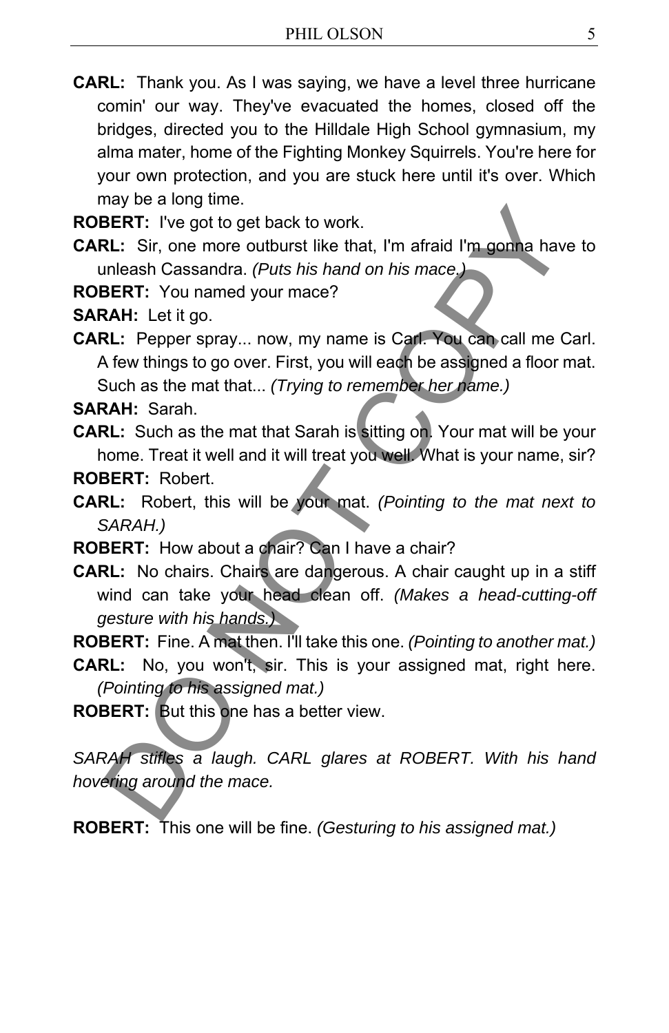**CARL:** Thank you. As I was saying, we have a level three hurricane comin' our way. They've evacuated the homes, closed off the bridges, directed you to the Hilldale High School gymnasium, my alma mater, home of the Fighting Monkey Squirrels. You're here for your own protection, and you are stuck here until it's over. Which may be a long time.

**ROBERT:** I've got to get back to work.

**CARL:** Sir, one more outburst like that, I'm afraid I'm gonna have to unleash Cassandra. *(Puts his hand on his mace.)*

**ROBERT:** You named your mace?

**SARAH:** Let it go.

**CARL:** Pepper spray... now, my name is Carl. You can call me Carl. A few things to go over. First, you will each be assigned a floor mat. Such as the mat that... *(Trying to remember her name.)*

**SARAH:** Sarah.

**CARL:** Such as the mat that Sarah is sitting on. Your mat will be your home. Treat it well and it will treat you well. What is your name, sir?

**ROBERT:** Robert.

- **CARL:** Robert, this will be your mat. *(Pointing to the mat next to SARAH.)*
- **ROBERT:** How about a chair? Can I have a chair?
- **CARL:** No chairs. Chairs are dangerous. A chair caught up in a stiff wind can take your head clean off. *(Makes a head-cutting-off gesture with his hands.)* Note The gate of the back to work.<br>
SERT: I've got to get back to work.<br>
SERT: I've got to get back to work.<br>
2L: Sir, one more outburst like that, I'm afraid I'm gonna have<br>
DBERT: You named your mace?<br>
2L: Pepper spray..

**ROBERT:** Fine. A mat then. I'll take this one. *(Pointing to another mat.)*

- **CARL:** No, you won't, sir. This is your assigned mat, right here. *(Pointing to his assigned mat.)*
- **ROBERT:** But this one has a better view.

*SARAH stifles a laugh. CARL glares at ROBERT. With his hand hovering around the mace.* 

**ROBERT:** This one will be fine. *(Gesturing to his assigned mat.)*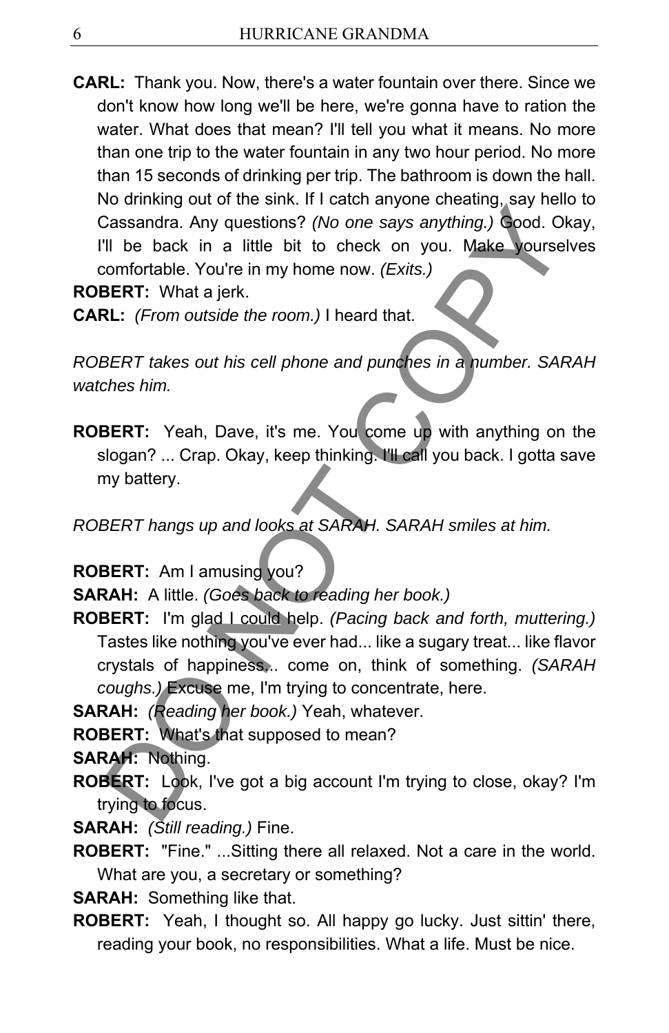**CARL:** Thank you. Now, there's a water fountain over there. Since we don't know how long we'll be here, we're gonna have to ration the water. What does that mean? I'll tell you what it means. No more than one trip to the water fountain in any two hour period. No more than 15 seconds of drinking per trip. The bathroom is down the hall. No drinking out of the sink. If I catch anyone cheating, say hello to Cassandra. Any questions? *(No one says anything.)* Good. Okay, I'll be back in a little bit to check on you. Make yourselves comfortable. You're in my home now. *(Exits.)*

**ROBERT:** What a jerk.

**CARL:** *(From outside the room.)* I heard that.

*ROBERT takes out his cell phone and punches in a number. SARAH watches him.* 

**ROBERT:** Yeah, Dave, it's me. You come up with anything on the slogan? ... Crap. Okay, keep thinking. I'll call you back. I gotta save my battery.

*ROBERT hangs up and looks at SARAH. SARAH smiles at him.* 

**ROBERT:** Am I amusing you?

**SARAH:** A little. *(Goes back to reading her book.)*

**ROBERT:** I'm glad I could help. *(Pacing back and forth, muttering.)* Tastes like nothing you've ever had... like a sugary treat... like flavor crystals of happiness... come on, think of something. *(SARAH coughs.)* Excuse me, I'm trying to concentrate, here. Commission of the same in text and the same of the same of the same of the same of the back in a little bit to check on you. Make yourse comfortable. You're in my home now. (Exits.)<br>BERT: What a jerk.<br>BERT: What a jerk.<br>BE

**SARAH:** *(Reading her book.)* Yeah, whatever.

**ROBERT:** What's that supposed to mean?

**SARAH:** Nothing.

**ROBERT:** Look, I've got a big account I'm trying to close, okay? I'm trying to focus.

**SARAH:** *(Still reading.)* Fine.

**ROBERT:** "Fine." ...Sitting there all relaxed. Not a care in the world. What are you, a secretary or something?

**SARAH:** Something like that.

**ROBERT:** Yeah, I thought so. All happy go lucky. Just sittin' there, reading your book, no responsibilities. What a life. Must be nice.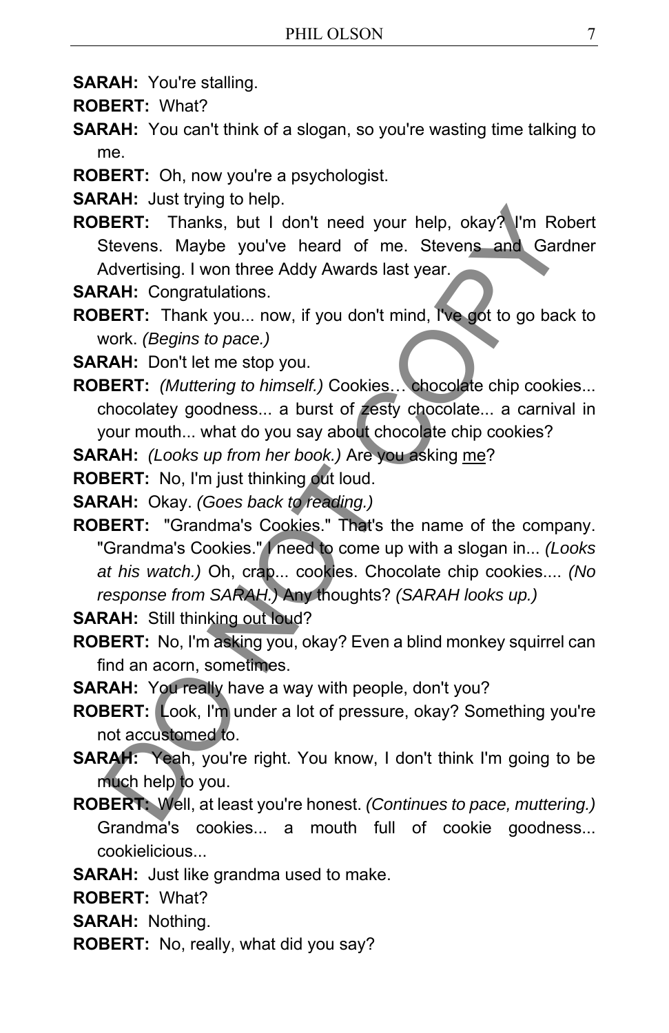- **SARAH:** You're stalling.
- **ROBERT:** What?
- **SARAH:** You can't think of a slogan, so you're wasting time talking to me.
- **ROBERT:** Oh, now you're a psychologist.

**SARAH:** Just trying to help.

**ROBERT:** Thanks, but I don't need your help, okay? I'm Robert Stevens. Maybe you've heard of me. Stevens and Gardner Advertising. I won three Addy Awards last year.

**SARAH:** Congratulations.

**ROBERT:** Thank you... now, if you don't mind, I've got to go back to work. *(Begins to pace.)*

**SARAH:** Don't let me stop you.

**ROBERT:** *(Muttering to himself.)* Cookies… chocolate chip cookies... chocolatey goodness... a burst of zesty chocolate... a carnival in your mouth... what do you say about chocolate chip cookies?

**SARAH:** *(Looks up from her book.)* Are you asking me?

**ROBERT:** No, I'm just thinking out loud.

- **SARAH:** Okay. *(Goes back to reading.)*
- **ROBERT:** "Grandma's Cookies." That's the name of the company. "Grandma's Cookies." I need to come up with a slogan in... *(Looks at his watch.)* Oh, crap... cookies. Chocolate chip cookies.... *(No response from SARAH.)* Any thoughts? *(SARAH looks up.)* **SERT:** Thanks, but I don't need your help, okay? I'm Ro<br>
SERT: Thanks, but I don't need your help, okay? I'm Ro<br>
Stevens. Maybe you've heard of me. Stevens and Gard<br>
Advertising. I won three Addy Awards last year.<br> **RAH:**

**SARAH:** Still thinking out loud?

- **ROBERT:** No, I'm asking you, okay? Even a blind monkey squirrel can find an acorn, sometimes.
- **SARAH:** You really have a way with people, don't you?
- **ROBERT:** Look, I'm under a lot of pressure, okay? Something you're not accustomed to.
- **SARAH:** Yeah, you're right. You know, I don't think I'm going to be much help to you.
- **ROBERT:** Well, at least you're honest. *(Continues to pace, muttering.)* Grandma's cookies... a mouth full of cookie goodness... cookielicious...
- **SARAH:** Just like grandma used to make.
- **ROBERT:** What?
- **SARAH:** Nothing.
- **ROBERT:** No, really, what did you say?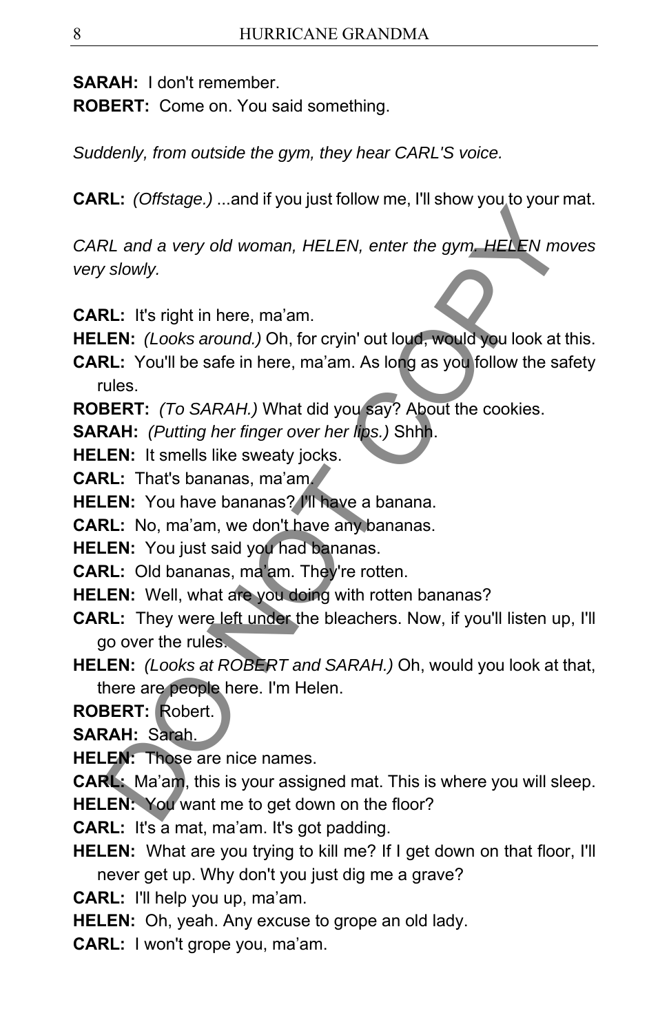**SARAH:** I don't remember.

**ROBERT:** Come on. You said something.

*Suddenly, from outside the gym, they hear CARL'S voice.* 

**CARL:** *(Offstage.)* ...and if you just follow me, I'll show you to your mat.

*CARL and a very old woman, HELEN, enter the gym. HELEN moves very slowly.* 

**CARL:** It's right in here, ma'am.

**HELEN:** *(Looks around.)* Oh, for cryin' out loud, would you look at this.

**CARL:** You'll be safe in here, ma'am. As long as you follow the safety rules.

**ROBERT:** *(To SARAH.)* What did you say? About the cookies.

**SARAH:** *(Putting her finger over her lips.)* Shhh.

**HELEN:** It smells like sweaty jocks.

**CARL:** That's bananas, ma'am.

**HELEN:** You have bananas? I'll have a banana.

**CARL:** No, ma'am, we don't have any bananas.

**HELEN:** You just said you had bananas.

**CARL:** Old bananas, ma'am. They're rotten.

**HELEN:** Well, what are you doing with rotten bananas?

**CARL:** They were left under the bleachers. Now, if you'll listen up, I'll go over the rules. RL and a very old woman, HELEN, enter the gym, HELEN more solven and a very old woman, HELEN, enter the gym, HELEN more solve that the state of the state of the state in here, mann.<br>
LEN: It's right in here, mann.<br>
LEN: (L

**HELEN:** *(Looks at ROBERT and SARAH.)* Oh, would you look at that, there are people here. I'm Helen.

**ROBERT:** Robert.

**SARAH:** Sarah.

**HELEN:** Those are nice names.

**CARL:** Ma'am, this is your assigned mat. This is where you will sleep.

**HELEN:** You want me to get down on the floor?

**CARL:** It's a mat, ma'am. It's got padding.

**HELEN:** What are you trying to kill me? If I get down on that floor, I'll never get up. Why don't you just dig me a grave?

**CARL:** I'll help you up, ma'am.

**HELEN:** Oh, yeah. Any excuse to grope an old lady.

**CARL:** I won't grope you, ma'am.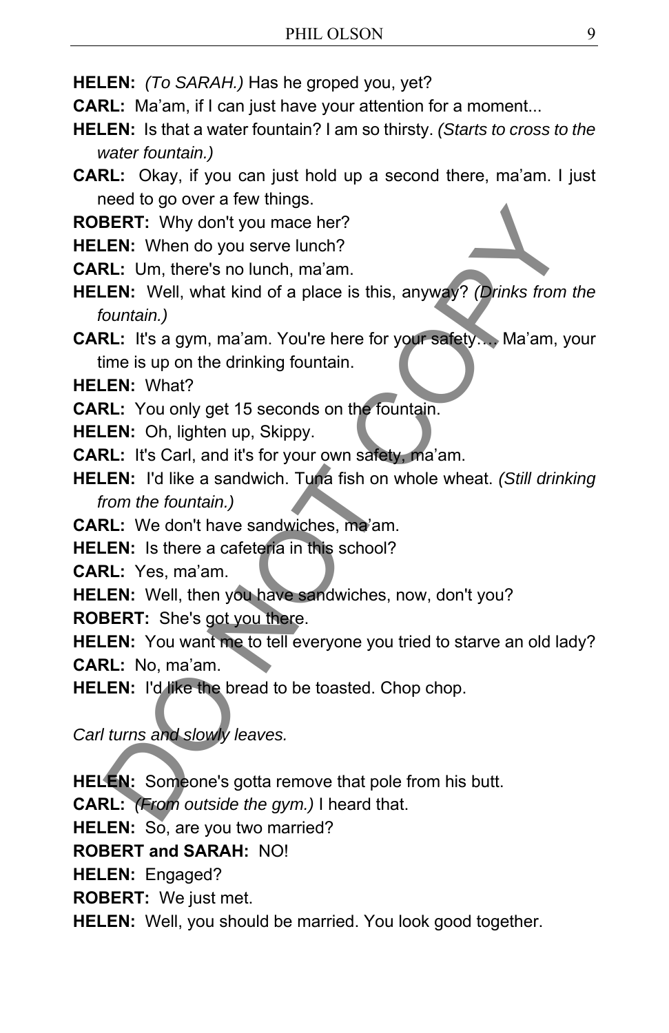**HELEN:** *(To SARAH.)* Has he groped you, yet?

**CARL:** Ma'am, if I can just have your attention for a moment...

**HELEN:** Is that a water fountain? I am so thirsty. *(Starts to cross to the water fountain.)*

**CARL:** Okay, if you can just hold up a second there, ma'am. I just need to go over a few things.

**ROBERT:** Why don't you mace her?

**HELEN:** When do you serve lunch?

**CARL:** Um, there's no lunch, ma'am.

**HELEN:** Well, what kind of a place is this, anyway? *(Drinks from the fountain.)*

**CARL:** It's a gym, ma'am. You're here for your safety…. Ma'am, your time is up on the drinking fountain.

**HELEN:** What?

**CARL:** You only get 15 seconds on the fountain.

**HELEN:** Oh, lighten up, Skippy.

**CARL:** It's Carl, and it's for your own safety, ma'am.

**HELEN:** I'd like a sandwich. Tuna fish on whole wheat. *(Still drinking from the fountain.)*

**CARL:** We don't have sandwiches, ma'am.

**HELEN:** Is there a cafeteria in this school?

**CARL:** Yes, ma'am.

**HELEN:** Well, then you have sandwiches, now, don't you? **ROBERT:** She's got you there.

**HELEN:** You want me to tell everyone you tried to starve an old lady? **CARL:** No, ma'am. **ERT:** Why don't you mace her?<br> **ERT:** Why don't you mace her?<br> **E.N.:** Um, there's no lunch, ma'am.<br> **COMIGINE:** Um, there's no lunch, ma'am.<br>
2L: I's a gym, ma'am. You're here for your safety... Ma'am, your safety.<br> **RL:** 

**HELEN:** I'd like the bread to be toasted. Chop chop.

*Carl turns and slowly leaves.* 

**HELEN:** Someone's gotta remove that pole from his butt.

**CARL:** *(From outside the gym.)* I heard that.

**HELEN:** So, are you two married?

**ROBERT and SARAH:** NO!

**HELEN:** Engaged?

**ROBERT:** We just met.

**HELEN:** Well, you should be married. You look good together.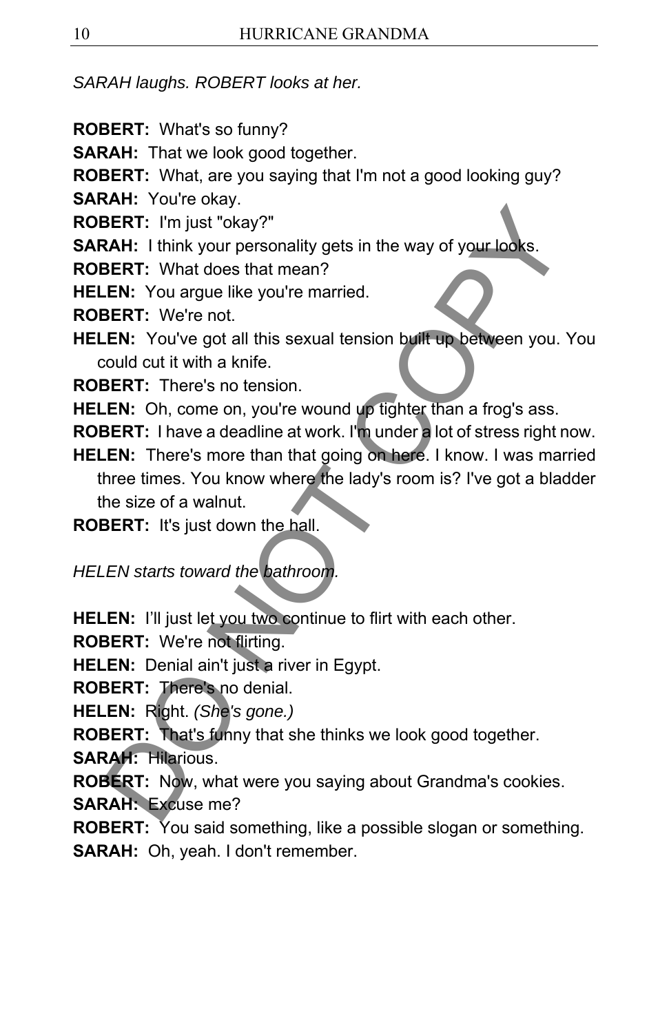*SARAH laughs. ROBERT looks at her.* 

- **ROBERT:** What's so funny?
- **SARAH:** That we look good together.
- **ROBERT:** What, are you saying that I'm not a good looking guy?
- **SARAH:** You're okay.
- **ROBERT:** I'm just "okay?"
- **SARAH:** I think your personality gets in the way of your looks.
- **ROBERT:** What does that mean?
- **HELEN:** You argue like you're married.
- **ROBERT:** We're not.
- **HELEN:** You've got all this sexual tension built up between you. You could cut it with a knife.
- **ROBERT:** There's no tension.
- **HELEN:** Oh, come on, you're wound up tighter than a frog's ass.
- **ROBERT:** I have a deadline at work. I'm under a lot of stress right now.
- **HELEN:** There's more than that going on here. I know. I was married three times. You know where the lady's room is? I've got a bladder the size of a walnut. **SERT:** I'm just 'okay?"<br> **SERT:** I'm just 'okay?"<br> **SERT:** I'm just 'okay?"<br> **SERT:** I'm just 'okay?"<br> **SERT:** What does that mean?<br> **SERT:** What does that mean?<br> **SERT:** Vou argue like you're married.<br> **SERT:** There's no

**ROBERT:** It's just down the hall.

*HELEN starts toward the bathroom.* 

**HELEN:** I'll just let you two continue to flirt with each other.

**ROBERT:** We're not flirting.

**HELEN:** Denial ain't just a river in Egypt.

**ROBERT:** There's no denial.

**HELEN:** Right. *(She's gone.)*

**ROBERT:** That's funny that she thinks we look good together.

**SARAH:** Hilarious.

**ROBERT:** Now, what were you saying about Grandma's cookies. **SARAH:** Excuse me?

**ROBERT:** You said something, like a possible slogan or something. **SARAH:** Oh, yeah. I don't remember.